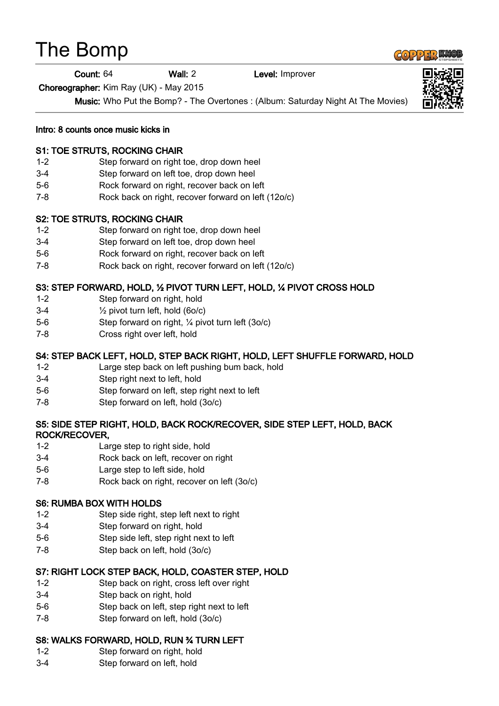# The Bomp

#### Count: 64 Wall: 2 Level: Improver

Choreographer: Kim Ray (UK) - May 2015

Music: Who Put the Bomp? - The Overtones : (Album: Saturday Night At The Movies)

Intro: 8 counts once music kicks in

## S1: TOE STRUTS, ROCKING CHAIR

- 1-2 Step forward on right toe, drop down heel
- 3-4 Step forward on left toe, drop down heel
- 5-6 Rock forward on right, recover back on left
- 7-8 Rock back on right, recover forward on left (12o/c)

## S2: TOE STRUTS, ROCKING CHAIR

- 1-2 Step forward on right toe, drop down heel
- 3-4 Step forward on left toe, drop down heel
- 5-6 Rock forward on right, recover back on left
- 7-8 Rock back on right, recover forward on left (12o/c)

# S3: STEP FORWARD, HOLD, ½ PIVOT TURN LEFT, HOLD, ¼ PIVOT CROSS HOLD

- 1-2 Step forward on right, hold
- $3-4$   $\frac{1}{2}$  pivot turn left, hold (6o/c)
- 5-6 Step forward on right, ¼ pivot turn left (3o/c)
- 7-8 Cross right over left, hold

# S4: STEP BACK LEFT, HOLD, STEP BACK RIGHT, HOLD, LEFT SHUFFLE FORWARD, HOLD

- 1-2 Large step back on left pushing bum back, hold
- 3-4 Step right next to left, hold
- 5-6 Step forward on left, step right next to left
- 7-8 Step forward on left, hold (3o/c)

## S5: SIDE STEP RIGHT, HOLD, BACK ROCK/RECOVER, SIDE STEP LEFT, HOLD, BACK ROCK/RECOVER,

- 1-2 Large step to right side, hold
- 3-4 Rock back on left, recover on right
- 5-6 Large step to left side, hold
- 7-8 Rock back on right, recover on left (3o/c)

#### S6: RUMBA BOX WITH HOLDS

- 1-2 Step side right, step left next to right
- 3-4 Step forward on right, hold
- 5-6 Step side left, step right next to left
- 7-8 Step back on left, hold (3o/c)

# S7: RIGHT LOCK STEP BACK, HOLD, COASTER STEP, HOLD

- 1-2 Step back on right, cross left over right
- 3-4 Step back on right, hold
- 5-6 Step back on left, step right next to left
- 7-8 Step forward on left, hold (3o/c)

# S8: WALKS FORWARD, HOLD, RUN ¾ TURN LEFT

- 1-2 Step forward on right, hold
- 3-4 Step forward on left, hold